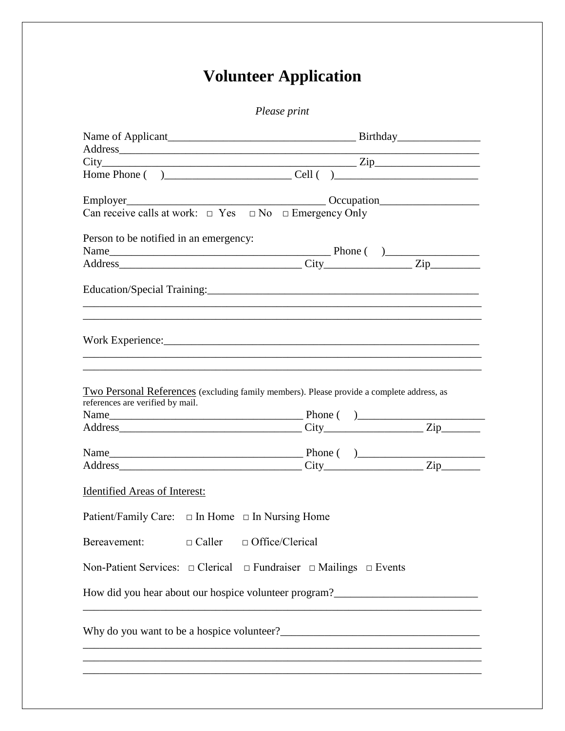## **Volunteer Application**

Please print

| Address Times and the contract of the contract of the contract of the contract of the contract of the contract of the contract of the contract of the contract of the contract of the contract of the contract of the contract                                                                            |  |  |
|-----------------------------------------------------------------------------------------------------------------------------------------------------------------------------------------------------------------------------------------------------------------------------------------------------------|--|--|
| $City$ $Zip$                                                                                                                                                                                                                                                                                              |  |  |
|                                                                                                                                                                                                                                                                                                           |  |  |
| Decupation Communication Contract of the Communication Communication Communication Communication Communication<br>Employer                                                                                                                                                                                |  |  |
| Can receive calls at work: $\Box$ Yes $\Box$ No $\Box$ Emergency Only                                                                                                                                                                                                                                     |  |  |
| Person to be notified in an emergency:                                                                                                                                                                                                                                                                    |  |  |
|                                                                                                                                                                                                                                                                                                           |  |  |
|                                                                                                                                                                                                                                                                                                           |  |  |
|                                                                                                                                                                                                                                                                                                           |  |  |
| Work Experience: Note that the same state of the state of the state of the state of the state of the state of the state of the state of the state of the state of the state of the state of the state of the state of the stat<br><u>,这就是这个人的人,我们就是这个人的人,我们就是这个人的人,我们就是这个人的人,我们就是这个人的人,我们就是这个人的人,我们就是</u> |  |  |
| Two Personal References (excluding family members). Please provide a complete address, as<br>references are verified by mail.                                                                                                                                                                             |  |  |
|                                                                                                                                                                                                                                                                                                           |  |  |
|                                                                                                                                                                                                                                                                                                           |  |  |
|                                                                                                                                                                                                                                                                                                           |  |  |
| Identified Areas of Interest:                                                                                                                                                                                                                                                                             |  |  |
| Patient/Family Care: □ In Home □ In Nursing Home                                                                                                                                                                                                                                                          |  |  |
| Bereavement: $\Box$ Caller $\Box$ Office/Clerical                                                                                                                                                                                                                                                         |  |  |
| Non-Patient Services: $\Box$ Clerical $\Box$ Fundraiser $\Box$ Mailings $\Box$ Events                                                                                                                                                                                                                     |  |  |
| How did you hear about our hospice volunteer program?___________________________                                                                                                                                                                                                                          |  |  |
|                                                                                                                                                                                                                                                                                                           |  |  |
|                                                                                                                                                                                                                                                                                                           |  |  |